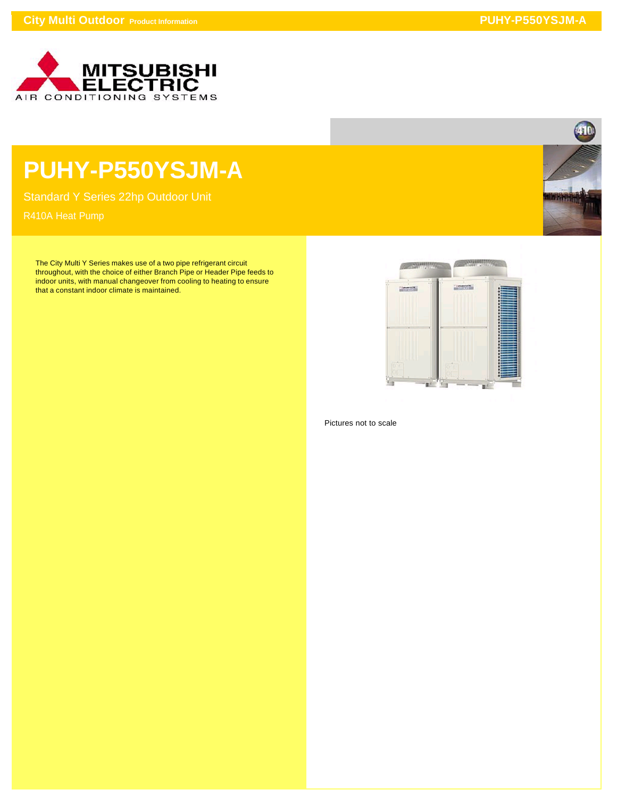

## **PUHY-P550YSJM-A**

Standard Y Series 22hp Outdoor Unit

The City Multi Y Series makes use of a two pipe refrigerant circuit throughout, with the choice of either Branch Pipe or Header Pipe feeds to indoor units, with manual changeover from cooling to heating to ensure that a constant indoor climate is maintained.



Pictures not to scale